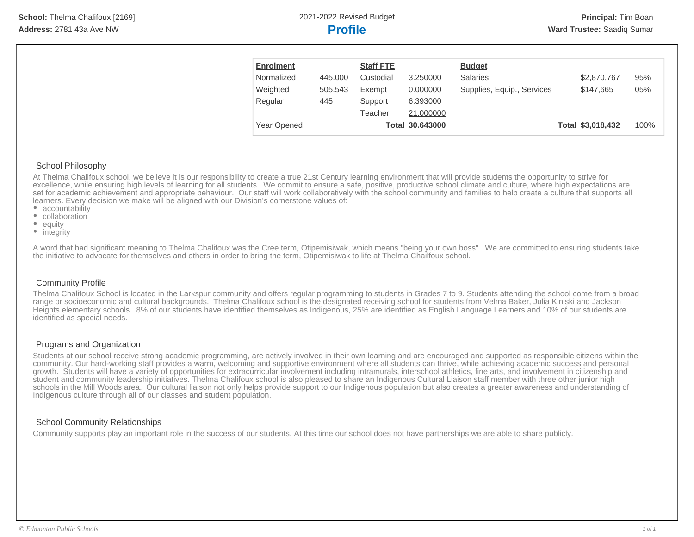| <b>Enrolment</b> |         | <b>Staff FTE</b> |                 | <b>Budget</b>              |                   |      |
|------------------|---------|------------------|-----------------|----------------------------|-------------------|------|
| Normalized       | 445,000 | Custodial        | 3.250000        | <b>Salaries</b>            | \$2,870,767       | 95%  |
| Weighted         | 505.543 | Exempt           | 0.000000        | Supplies, Equip., Services | \$147,665         | 05%  |
| Regular          | 445     | Support          | 6.393000        |                            |                   |      |
|                  |         | Teacher          | 21,000000       |                            |                   |      |
| Year Opened      |         |                  | Total 30.643000 |                            | Total \$3,018,432 | 100% |

#### School Philosophy

At Thelma Chalifoux school, we believe it is our responsibility to create a true 21st Century learning environment that will provide students the opportunity to strive for excellence, while ensuring high levels of learning for all students. We commit to ensure a safe, positive, productive school climate and culture, where high expectations are set for academic achievement and appropriate behaviour. Our staff will work collaboratively with the school community and families to help create a culture that supports all learners. Every decision we make will be aligned with our Division's cornerstone values of:

- accountability
- collaboration
- equity
- integrity

A word that had significant meaning to Thelma Chalifoux was the Cree term, Otipemisiwak, which means "being your own boss". We are committed to ensuring students take the initiative to advocate for themselves and others in order to bring the term, Otipemisiwak to life at Thelma Chailfoux school.

#### Community Profile

Thelma Chalifoux School is located in the Larkspur community and offers regular programming to students in Grades 7 to 9. Students attending the school come from a broad range or socioeconomic and cultural backgrounds. Thelma Chalifoux school is the designated receiving school for students from Velma Baker, Julia Kiniski and Jackson Heights elementary schools. 8% of our students have identified themselves as Indigenous, 25% are identified as English Language Learners and 10% of our students are identified as special needs.

#### Programs and Organization

Students at our school receive strong academic programming, are actively involved in their own learning and are encouraged and supported as responsible citizens within the community. Our hard-working staff provides a warm, welcoming and supportive environment where all students can thrive, while achieving academic success and personal growth. Students will have a variety of opportunities for extracurricular involvement including intramurals, interschool athletics, fine arts, and involvement in citizenship and student and community leadership initiatives. Thelma Chalifoux school is also pleased to share an Indigenous Cultural Liaison staff member with three other junior high schools in the Mill Woods area. Our cultural liaison not only helps provide support to our Indigenous population but also creates a greater awareness and understanding of Indigenous culture through all of our classes and student population.

#### School Community Relationships

Community supports play an important role in the success of our students. At this time our school does not have partnerships we are able to share publicly.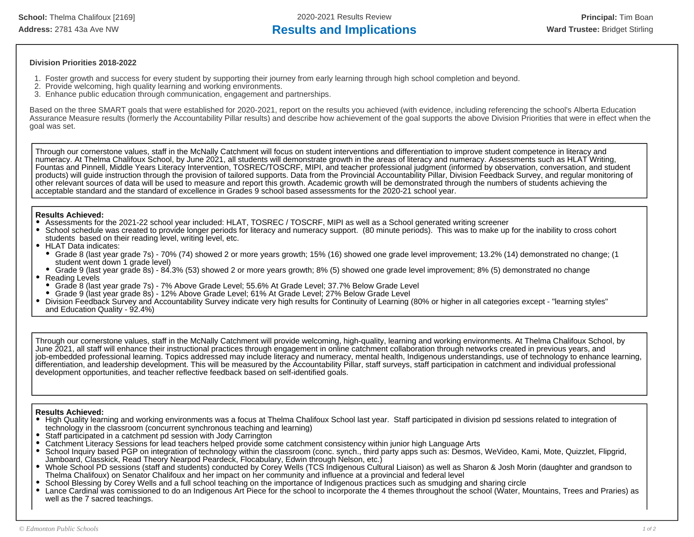**School:** Thelma Chalifoux [2169] 2020-2021 Results Review **Principal:** Tim Boan Address: 2781 43a Ave NW **Results and Implications Results and Implications Ward Trustee:** Bridget Stirling

#### **Division Priorities 2018-2022**

- 1. Foster growth and success for every student by supporting their journey from early learning through high school completion and beyond.
- 2. Provide welcoming, high quality learning and working environments.
- 3. Enhance public education through communication, engagement and partnerships.

Based on the three SMART goals that were established for 2020-2021, report on the results you achieved (with evidence, including referencing the school's Alberta Education Assurance Measure results (formerly the Accountability Pillar results) and describe how achievement of the goal supports the above Division Priorities that were in effect when the goal was set.

Through our cornerstone values, staff in the McNally Catchment will focus on student interventions and differentiation to improve student competence in literacy and numeracy. At Thelma Chalifoux School, by June 2021, all students will demonstrate growth in the areas of literacy and numeracy. Assessments such as HLAT Writing, Fountas and Pinnell, Middle Years Literacy Intervention, TOSREC/TOSCRF, MIPI, and teacher professional judgment (informed by observation, conversation, and student products) will guide instruction through the provision of tailored supports. Data from the Provincial Accountability Pillar, Division Feedback Survey, and regular monitoring of other relevant sources of data will be used to measure and report this growth. Academic growth will be demonstrated through the numbers of students achieving the acceptable standard and the standard of excellence in Grades 9 school based assessments for the 2020-21 school year.

#### **Results Achieved:**

- Assessments for the 2021-22 school year included: HLAT, TOSREC / TOSCRF, MIPI as well as a School generated writing screener
- School schedule was created to provide longer periods for literacy and numeracy support. (80 minute periods). This was to make up for the inability to cross cohort students based on their reading level, writing level, etc.
- HLAT Data indicates:
- Grade 8 (last year grade 7s) 70% (74) showed 2 or more years growth; 15% (16) showed one grade level improvement; 13.2% (14) demonstrated no change; (1 student went down 1 grade level)
- Grade 9 (last year grade 8s) 84.3% (53) showed 2 or more years growth; 8% (5) showed one grade level improvement; 8% (5) demonstrated no change Reading Levels
- Grade 8 (last year grade 7s) 7% Above Grade Level; 55.6% At Grade Level; 37.7% Below Grade Level
- Grade 9 (last year grade 8s) 12% Above Grade Level; 61% At Grade Level; 27% Below Grade Level
- Division Feedback Survey and Accountability Survey indicate very high results for Continuity of Learning (80% or higher in all categories except "learning styles" and Education Quality - 92.4%)

Through our cornerstone values, staff in the McNally Catchment will provide welcoming, high-quality, learning and working environments. At Thelma Chalifoux School, by June 2021, all staff will enhance their instructional practices through engagement in online catchment collaboration through networks created in previous years, and job-embedded professional learning. Topics addressed may include literacy and numeracy, mental health, Indigenous understandings, use of technology to enhance learning, differentiation, and leadership development. This will be measured by the Accountability Pillar, staff surveys, staff participation in catchment and individual professional development opportunities, and teacher reflective feedback based on self-identified goals.

#### **Results Achieved:**

- High Quality learning and working environments was a focus at Thelma Chalifoux School last year. Staff participated in division pd sessions related to integration of technology in the classroom (concurrent synchronous teaching and learning)
- Staff participated in a catchment pd session with Jody Carrington
- Catchment Literacy Sessions for lead teachers helped provide some catchment consistency within junior high Language Arts
- School Inquiry based PGP on integration of technology within the classroom (conc. synch., third party apps such as: Desmos, WeVideo, Kami, Mote, Quizzlet, Flipgrid, Jamboard, Classkick, Read Theory Nearpod Peardeck, Flocabulary, Edwin through Nelson, etc.)
- Whole School PD sessions (staff and students) conducted by Corey Wells (TCS Indigenous Cultural Liaison) as well as Sharon & Josh Morin (daughter and grandson to Thelma Chalifoux) on Senator Chalifoux and her impact on her community and influence at a provincial and federal level
- School Blessing by Corey Wells and a full school teaching on the importance of Indigenous practices such as smudging and sharing circle
- $\bullet$ Lance Cardinal was comissioned to do an Indigenous Art Piece for the school to incorporate the 4 themes throughout the school (Water, Mountains, Trees and Praries) as well as the 7 sacred teachings.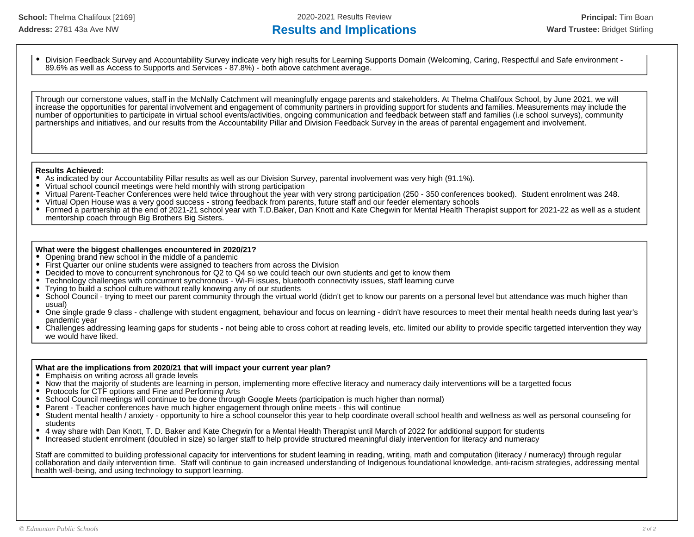## Address: 2781 43a Ave NW **Results and Implications Results and Implications Ward Trustee:** Bridget Stirling

Division Feedback Survey and Accountability Survey indicate very high results for Learning Supports Domain (Welcoming, Caring, Respectful and Safe environment - 89.6% as well as Access to Supports and Services - 87.8%) - both above catchment average.

Through our cornerstone values, staff in the McNally Catchment will meaningfully engage parents and stakeholders. At Thelma Chalifoux School, by June 2021, we will increase the opportunities for parental involvement and engagement of community partners in providing support for students and families. Measurements may include the number of opportunities to participate in virtual school events/activities, ongoing communication and feedback between staff and families (i.e school surveys), community partnerships and initiatives, and our results from the Accountability Pillar and Division Feedback Survey in the areas of parental engagement and involvement.

## **Results Achieved:**<br>• As indicated by a

- As indicated by our Accountability Pillar results as well as our Division Survey, parental involvement was very high (91.1%).
- Virtual school council meetings were held monthly with strong participation
- $\bullet$ Virtual Parent-Teacher Conferences were held twice throughout the year with very strong participation (250 - 350 conferences booked). Student enrolment was 248.
- $\bullet$ Virtual Open House was a very good success - strong feedback from parents, future staff and our feeder elementary schools
- $\bullet$ Formed a partnership at the end of 2021-21 school year with T.D.Baker, Dan Knott and Kate Chegwin for Mental Health Therapist support for 2021-22 as well as a student mentorship coach through Big Brothers Big Sisters.

#### **What were the biggest challenges encountered in 2020/21?**

- Opening brand new school in the middle of a pandemic
- First Quarter our online students were assigned to teachers from across the Division
- $\bullet$ Decided to move to concurrent synchronous for Q2 to Q4 so we could teach our own students and get to know them
- $\bullet$ Technology challenges with concurrent synchronous - Wi-Fi issues, bluetooth connectivity issues, staff learning curve
- Trying to build a school culture without really knowing any of our students
- $\bullet$ School Council - trying to meet our parent community through the virtual world (didn't get to know our parents on a personal level but attendance was much higher than usual)
- One single grade 9 class challenge with student engagment, behaviour and focus on learning didn't have resources to meet their mental health needs during last year's pandemic year
- Challenges addressing learning gaps for students not being able to cross cohort at reading levels, etc. limited our ability to provide specific targetted intervention they way we would have liked.

#### **What are the implications from 2020/21 that will impact your current year plan?**

- Emphaisis on writing across all grade levels
- Now that the majority of students are learning in person, implementing more effective literacy and numeracy daily interventions will be a targetted focus
- Protocols for CTF options and Fine and Performing Arts
- School Council meetings will continue to be done through Google Meets (participation is much higher than normal)
- Parent Teacher conferences have much higher engagement through online meets this will continue
- Student mental health / anxiety opportunity to hire a school counselor this year to help coordinate overall school health and wellness as well as personal counseling for students
- 4 way share with Dan Knott, T. D. Baker and Kate Chegwin for a Mental Health Therapist until March of 2022 for additional support for students
- Increased student enrolment (doubled in size) so larger staff to help provide structured meaningful dialy intervention for literacy and numeracy

Staff are committed to building professional capacity for interventions for student learning in reading, writing, math and computation (literacy / numeracy) through regular collaboration and daily intervention time. Staff will continue to gain increased understanding of Indigenous foundational knowledge, anti-racism strategies, addressing mental health well-being, and using technology to support learning.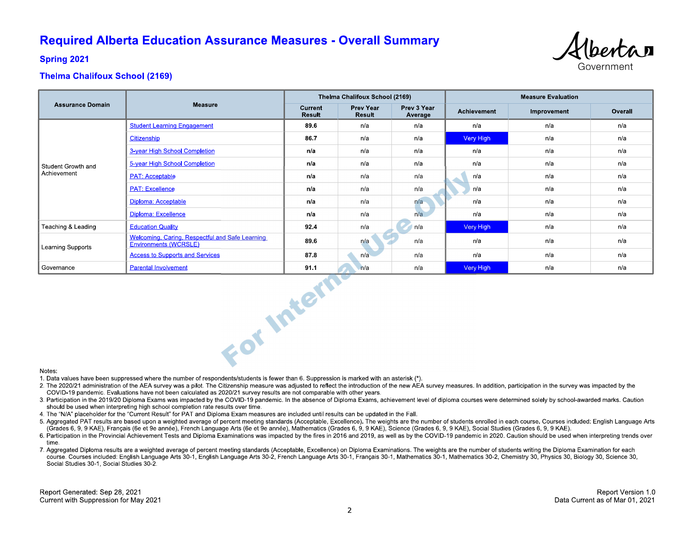## **Required Alberta Education Assurance Measures - Overall Summary**



**Spring 2021** 

### **Thelma Chalifoux School (2169)**

|                                   |                                                                          |                          | Thelma Chalifoux School (2169) |                        | <b>Measure Evaluation</b> |             |         |  |
|-----------------------------------|--------------------------------------------------------------------------|--------------------------|--------------------------------|------------------------|---------------------------|-------------|---------|--|
| <b>Assurance Domain</b>           | <b>Measure</b>                                                           | Current<br><b>Result</b> | Prev Year<br>Result            | Prev 3 Year<br>Average | Achievement               | Improvement | Overall |  |
| Student Growth and<br>Achievement | <b>Student Learning Engagement</b>                                       | 89.6                     | n/a                            | n/a                    | n/a                       | n/a         | n/a     |  |
|                                   | Citizenship                                                              | 86.7                     | n/a                            | n/a                    | Very High                 | n/a         | n/a     |  |
|                                   | 3-year High School Completion                                            | n/a                      | n/a                            | n/a                    | n/a                       | n/a         | n/a     |  |
|                                   | 5-year High School Completion                                            | n/a                      | n/a                            | n/a                    | n/a                       | n/a         | n/a     |  |
|                                   | <b>PAT: Acceptable</b>                                                   | n/a                      | n/a                            | n/a                    | n/a                       | n/a         | n/a     |  |
|                                   | <b>PAT: Excellence</b>                                                   | n/a                      | n/a                            | n/a                    | n/a                       | n/a         | n/a     |  |
|                                   | Diploma: Acceptable                                                      | n/a                      | n/a                            | n/a                    | n/a                       | n/a         | n/a     |  |
|                                   | Diploma: Excellence                                                      | n/a                      | n/a                            | n/a                    | n/a                       | n/a         | n/a     |  |
| Teaching & Leading                | <b>Education Quality</b>                                                 | 92.4                     | n/a                            | n/a                    | Very High                 | n/a         | n/a     |  |
| Learning Supports                 | Welcoming, Caring, Respectful and Safe Learning<br>Environments (WCRSLE) | 89.6                     | n/a                            | n/a                    | n/a                       | n/a         | n/a     |  |
|                                   | <b>Access to Supports and Services</b>                                   | 87.8                     | n/a                            | n/a                    | n/a                       | n/a         | n/a     |  |
| Governance                        | <b>Parental Involvement</b>                                              | 91.1                     | n/a                            | n/a                    | Very High                 | n/a         | n/a     |  |
| Notes:                            | For Intern                                                               |                          |                                |                        |                           |             |         |  |

#### Notes:

1. Data values have been suppressed where the number of respondents/students is fewer than 6. Suppression is marked with an asterisk (\*).

- 2. The 2020/21 administration of the AEA survey was a pilot. The Citizenship measure was adjusted to reflect the introduction of the new AEA survey measures. In addition, participation in the survey was impacted by the COVID-19 pandemic. Evaluations have not been calculated as 2020/21 survey results are not comparable with other years.
- 3. Participation in the 2019/20 Diploma Exams was impacted by the COVID-19 pandemic. In the absence of Diploma Exams, achievement level of diploma courses were determined solely by school-awarded marks. Caution should be used when interpreting high school completion rate results over time.
- 4. The "N/A" placeholder for the "Current Result" for PAT and Diploma Exam measures are included until results can be updated in the Fall.
- 5. Aggregated PAT results are based upon a weighted average of percent meeting standards (Acceptable, Excellence). The weights are the number of students enrolled in each course. Courses included: English Language Arts (Grades 6, 9, 9 KAE), Français (6e et 9e année), French Language Arts (6e et 9e année), Mathematics (Grades 6, 9, 9 KAE), Science (Grades 6, 9, 9 KAE), Social Studies (Grades 6, 9, 9 KAE).
- 6. Participation in the Provincial Achievement Tests and Diploma Examinations was impacted by the fires in 2016 and 2019, as well as by the COVID-19 pandemic in 2020. Caution should be used when interpreting trends over time
- 7. Aggregated Diploma results are a weighted average of percent meeting standards (Acceptable, Excellence) on Diploma Examinations. The weights are the number of students writing the Diploma Examination for each course. Courses included: English Language Arts 30-1, English Language Arts 30-2, French Language Arts 30-1, Français 30-1, Mathematics 30-1, Mathematics 30-2, Chemistry 30, Physics 30, Biology 30, Science 30, Social Studies 30-1, Social Studies 30-2.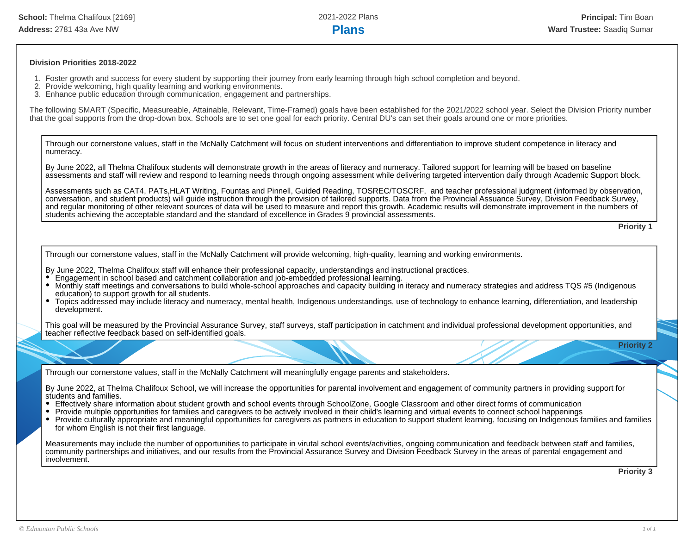#### **Division Priorities 2018-2022**

- 1. Foster growth and success for every student by supporting their journey from early learning through high school completion and beyond.
- 2. Provide welcoming, high quality learning and working environments.
- 3. Enhance public education through communication, engagement and partnerships.

The following SMART (Specific, Measureable, Attainable, Relevant, Time-Framed) goals have been established for the 2021/2022 school year. Select the Division Priority number that the goal supports from the drop-down box. Schools are to set one goal for each priority. Central DU's can set their goals around one or more priorities.

Through our cornerstone values, staff in the McNally Catchment will focus on student interventions and differentiation to improve student competence in literacy and numeracy.

By June 2022, all Thelma Chalifoux students will demonstrate growth in the areas of literacy and numeracy. Tailored support for learning will be based on baseline assessments and staff will review and respond to learning needs through ongoing assessment while delivering targeted intervention daily through Academic Support block.

Assessments such as CAT4, PATs,HLAT Writing, Fountas and Pinnell, Guided Reading, TOSREC/TOSCRF, and teacher professional judgment (informed by observation, conversation, and student products) will guide instruction through the provision of tailored supports. Data from the Provincial Assuance Survey, Division Feedback Survey, and regular monitoring of other relevant sources of data will be used to measure and report this growth. Academic results will demonstrate improvement in the numbers of students achieving the acceptable standard and the standard of excellence in Grades 9 provincial assessments.

**Priority 1**

Through our cornerstone values, staff in the McNally Catchment will provide welcoming, high-quality, learning and working environments.

By June 2022, Thelma Chalifoux staff will enhance their professional capacity, understandings and instructional practices.

- Engagement in school based and catchment collaboration and job-embedded professional learning.
- Monthly staff meetings and conversations to build whole-school approaches and capacity building in iteracy and numeracy strategies and address TQS #5 (Indigenous education) to support growth for all students.
- Topics addressed may include literacy and numeracy, mental health, Indigenous understandings, use of technology to enhance learning, differentiation, and leadership development.

This goal will be measured by the Provincial Assurance Survey, staff surveys, staff participation in catchment and individual professional development opportunities, and teacher reflective feedback based on self-identified goals.

**Priority 2**

Through our cornerstone values, staff in the McNally Catchment will meaningfully engage parents and stakeholders.

By June 2022, at Thelma Chalifoux School, we will increase the opportunities for parental involvement and engagement of community partners in providing support for students and families.

- Effectively share information about student growth and school events through SchoolZone, Google Classroom and other direct forms of communication
- Provide multiple opportunities for families and caregivers to be actively involved in their child's learning and virtual events to connect school happenings
- Provide culturally appropriate and meaningful opportunities for caregivers as partners in education to support student learning, focusing on Indigenous families and families for whom English is not their first language.

Measurements may include the number of opportunities to participate in virutal school events/activities, ongoing communication and feedback between staff and families, community partnerships and initiatives, and our results from the Provincial Assurance Survey and Division Feedback Survey in the areas of parental engagement and involvement.

**Priority 3**